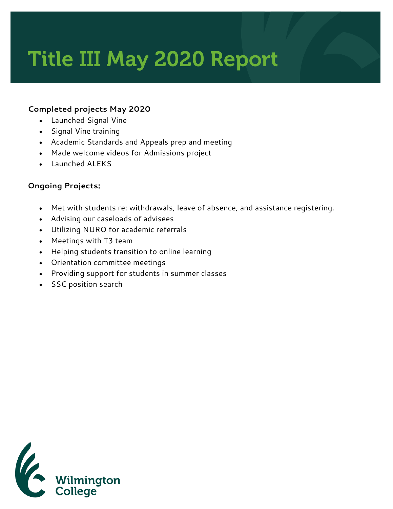# Title III May 2020 Report

#### **Completed projects May 2020**

- Launched Signal Vine
- Signal Vine training
- Academic Standards and Appeals prep and meeting
- Made welcome videos for Admissions project
- Launched ALEKS

### **Ongoing Projects:**

- Met with students re: withdrawals, leave of absence, and assistance registering.
- Advising our caseloads of advisees
- Utilizing NURO for academic referrals
- Meetings with T3 team
- Helping students transition to online learning
- Orientation committee meetings
- Providing support for students in summer classes
- SSC position search

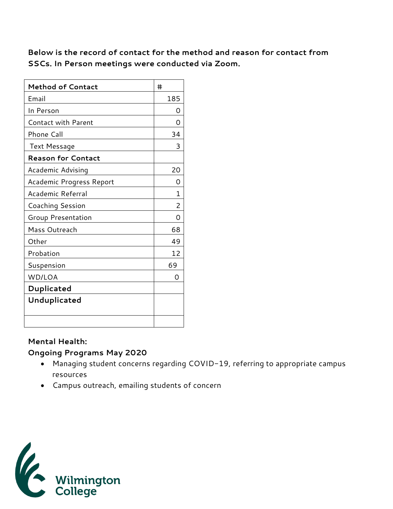**Below is the record of contact for the method and reason for contact from SSCs. In Person meetings were conducted via Zoom.** 

| <b>Method of Contact</b>   | #   |
|----------------------------|-----|
| Email                      | 185 |
| In Person                  | Ω   |
| <b>Contact with Parent</b> | O   |
| Phone Call                 | 34  |
| <b>Text Message</b>        | 3   |
| <b>Reason for Contact</b>  |     |
| Academic Advising          | 20  |
| Academic Progress Report   | O   |
| Academic Referral          | 1   |
| Coaching Session           | 2   |
| <b>Group Presentation</b>  | Ω   |
| Mass Outreach              | 68  |
| Other                      | 49  |
| Probation                  | 12  |
| Suspension                 | 69  |
| WD/LOA                     | Ω   |
| Duplicated                 |     |
| Unduplicated               |     |
|                            |     |
|                            |     |

#### **Mental Health:**

#### **Ongoing Programs May 2020**

- Managing student concerns regarding COVID-19, referring to appropriate campus resources
- Campus outreach, emailing students of concern